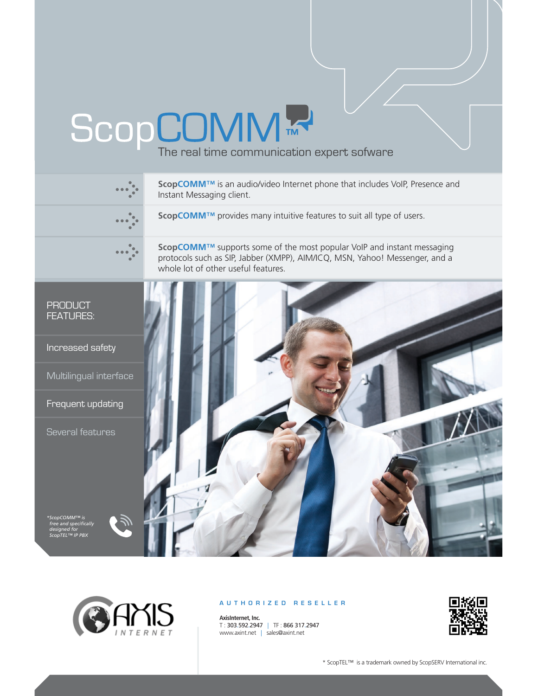## ScopCOMM<sup>TM</sup><br>The real time communication expert sofware





## **AUTHORIZED RESELLER**

**AxisInternet, Inc.** T : 303.592.2947 | TF : 866 317.2947 www.axint.net | sales@axint.net